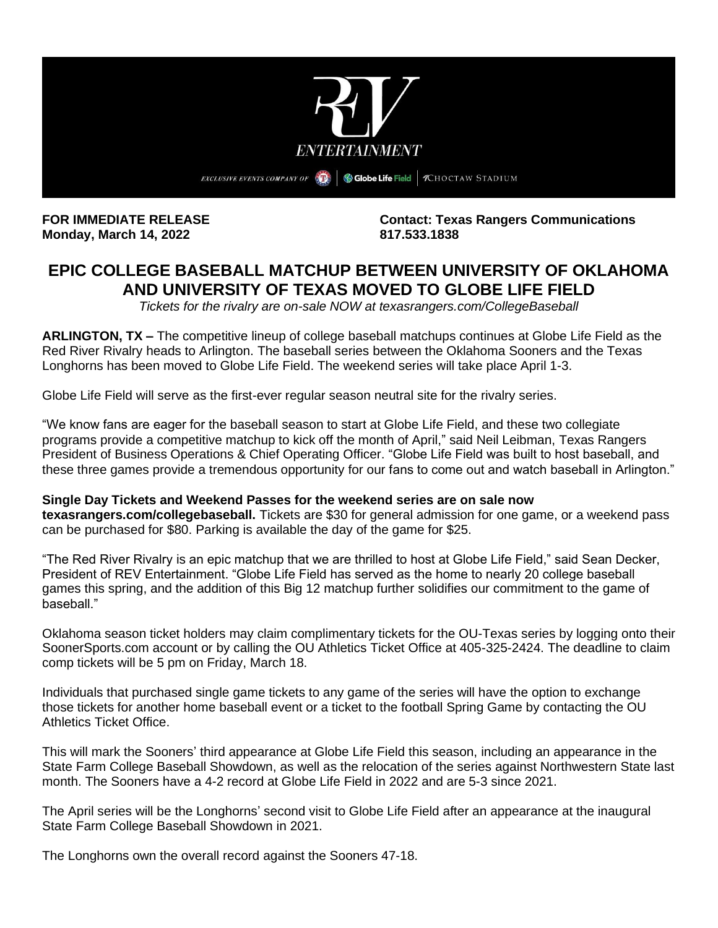

**Monday, March 14, 2022 817.533.1838**

**FOR IMMEDIATE RELEASE Contact: Texas Rangers Communications**

# **EPIC COLLEGE BASEBALL MATCHUP BETWEEN UNIVERSITY OF OKLAHOMA AND UNIVERSITY OF TEXAS MOVED TO GLOBE LIFE FIELD**

*Tickets for the rivalry are on-sale NOW at texasrangers.com/CollegeBaseball*

**ARLINGTON, TX –** The competitive lineup of college baseball matchups continues at Globe Life Field as the Red River Rivalry heads to Arlington. The baseball series between the Oklahoma Sooners and the Texas Longhorns has been moved to Globe Life Field. The weekend series will take place April 1-3.

Globe Life Field will serve as the first-ever regular season neutral site for the rivalry series.

"We know fans are eager for the baseball season to start at Globe Life Field, and these two collegiate programs provide a competitive matchup to kick off the month of April," said Neil Leibman, Texas Rangers President of Business Operations & Chief Operating Officer. "Globe Life Field was built to host baseball, and these three games provide a tremendous opportunity for our fans to come out and watch baseball in Arlington."

### **Single Day Tickets and Weekend Passes for the weekend series are on sale now**

**texasrangers.com/collegebaseball.** Tickets are \$30 for general admission for one game, or a weekend pass can be purchased for \$80. Parking is available the day of the game for \$25.

"The Red River Rivalry is an epic matchup that we are thrilled to host at Globe Life Field," said Sean Decker, President of REV Entertainment. "Globe Life Field has served as the home to nearly 20 college baseball games this spring, and the addition of this Big 12 matchup further solidifies our commitment to the game of baseball."

Oklahoma season ticket holders may claim complimentary tickets for the OU-Texas series by logging onto their SoonerSports.com account or by calling the OU Athletics Ticket Office at 405-325-2424. The deadline to claim comp tickets will be 5 pm on Friday, March 18.

Individuals that purchased single game tickets to any game of the series will have the option to exchange those tickets for another home baseball event or a ticket to the football Spring Game by contacting the OU Athletics Ticket Office.

This will mark the Sooners' third appearance at Globe Life Field this season, including an appearance in the State Farm College Baseball Showdown, as well as the relocation of the series against Northwestern State last month. The Sooners have a 4-2 record at Globe Life Field in 2022 and are 5-3 since 2021.

The April series will be the Longhorns' second visit to Globe Life Field after an appearance at the inaugural State Farm College Baseball Showdown in 2021.

The Longhorns own the overall record against the Sooners 47-18.